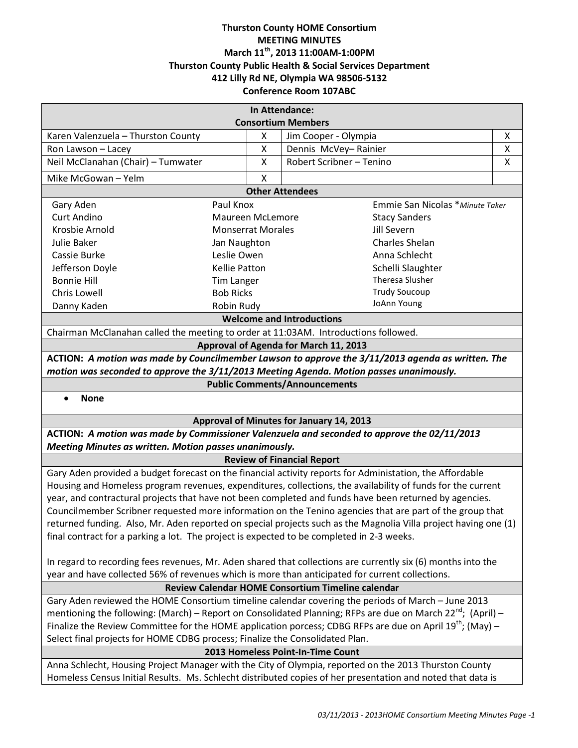## **Thurston County HOME Consortium MEETING MINUTES March 11th, 2013 11:00AM-1:00PM Thurston County Public Health & Social Services Department 412 Lilly Rd NE, Olympia WA 98506-5132 Conference Room 107ABC**

| In Attendance:                                                                                                          |                          |        |                                              |        |
|-------------------------------------------------------------------------------------------------------------------------|--------------------------|--------|----------------------------------------------|--------|
| <b>Consortium Members</b>                                                                                               |                          |        |                                              |        |
| Karen Valenzuela - Thurston County                                                                                      |                          | x<br>X | Jim Cooper - Olympia<br>Dennis McVey-Rainier | х<br>X |
| Ron Lawson - Lacey<br>Neil McClanahan (Chair) - Tumwater                                                                |                          | Χ      | Robert Scribner - Tenino                     | X      |
|                                                                                                                         |                          |        |                                              |        |
| Mike McGowan - Yelm                                                                                                     |                          | X      |                                              |        |
| <b>Other Attendees</b>                                                                                                  |                          |        |                                              |        |
| Gary Aden                                                                                                               | Paul Knox                |        | Emmie San Nicolas * Minute Taker             |        |
| <b>Curt Andino</b>                                                                                                      | <b>Maureen McLemore</b>  |        | <b>Stacy Sanders</b>                         |        |
| Krosbie Arnold                                                                                                          | <b>Monserrat Morales</b> |        | Jill Severn                                  |        |
| Julie Baker                                                                                                             | Jan Naughton             |        | Charles Shelan                               |        |
| Cassie Burke                                                                                                            | Leslie Owen              |        | Anna Schlecht                                |        |
| Jefferson Doyle                                                                                                         | <b>Kellie Patton</b>     |        | Schelli Slaughter                            |        |
| <b>Bonnie Hill</b>                                                                                                      | <b>Tim Langer</b>        |        | Theresa Slusher                              |        |
| <b>Chris Lowell</b>                                                                                                     | <b>Bob Ricks</b>         |        | <b>Trudy Soucoup</b><br>JoAnn Young          |        |
| Danny Kaden<br>Robin Rudy                                                                                               |                          |        |                                              |        |
| <b>Welcome and Introductions</b>                                                                                        |                          |        |                                              |        |
| Chairman McClanahan called the meeting to order at 11:03AM. Introductions followed.                                     |                          |        |                                              |        |
| Approval of Agenda for March 11, 2013                                                                                   |                          |        |                                              |        |
| ACTION: A motion was made by Councilmember Lawson to approve the 3/11/2013 agenda as written. The                       |                          |        |                                              |        |
| motion was seconded to approve the 3/11/2013 Meeting Agenda. Motion passes unanimously.                                 |                          |        |                                              |        |
| <b>Public Comments/Announcements</b>                                                                                    |                          |        |                                              |        |
| <b>None</b>                                                                                                             |                          |        |                                              |        |
| Approval of Minutes for January 14, 2013                                                                                |                          |        |                                              |        |
| ACTION: A motion was made by Commissioner Valenzuela and seconded to approve the 02/11/2013                             |                          |        |                                              |        |
| Meeting Minutes as written. Motion passes unanimously.                                                                  |                          |        |                                              |        |
| <b>Review of Financial Report</b>                                                                                       |                          |        |                                              |        |
| Gary Aden provided a budget forecast on the financial activity reports for Administation, the Affordable                |                          |        |                                              |        |
| Housing and Homeless program revenues, expenditures, collections, the availability of funds for the current             |                          |        |                                              |        |
| year, and contractural projects that have not been completed and funds have been returned by agencies.                  |                          |        |                                              |        |
| Councilmember Scribner requested more information on the Tenino agencies that are part of the group that                |                          |        |                                              |        |
| returned funding. Also, Mr. Aden reported on special projects such as the Magnolia Villa project having one (1)         |                          |        |                                              |        |
| final contract for a parking a lot. The project is expected to be completed in 2-3 weeks.                               |                          |        |                                              |        |
| In regard to recording fees revenues, Mr. Aden shared that collections are currently six (6) months into the            |                          |        |                                              |        |
| year and have collected 56% of revenues which is more than anticipated for current collections.                         |                          |        |                                              |        |
| Review Calendar HOME Consortium Timeline calendar                                                                       |                          |        |                                              |        |
| Gary Aden reviewed the HOME Consortium timeline calendar covering the periods of March - June 2013                      |                          |        |                                              |        |
| mentioning the following: (March) – Report on Consolidated Planning; RFPs are due on March 22 <sup>nd</sup> ; (April) – |                          |        |                                              |        |
| Finalize the Review Committee for the HOME application porcess; CDBG RFPs are due on April 19 <sup>th</sup> ; (May) –   |                          |        |                                              |        |
| Select final projects for HOME CDBG process; Finalize the Consolidated Plan.                                            |                          |        |                                              |        |
| 2013 Homeless Point-In-Time Count                                                                                       |                          |        |                                              |        |
| Anna Schlecht, Housing Project Manager with the City of Olympia, reported on the 2013 Thurston County                   |                          |        |                                              |        |
| Homeless Census Initial Results. Ms. Schlecht distributed copies of her presentation and noted that data is             |                          |        |                                              |        |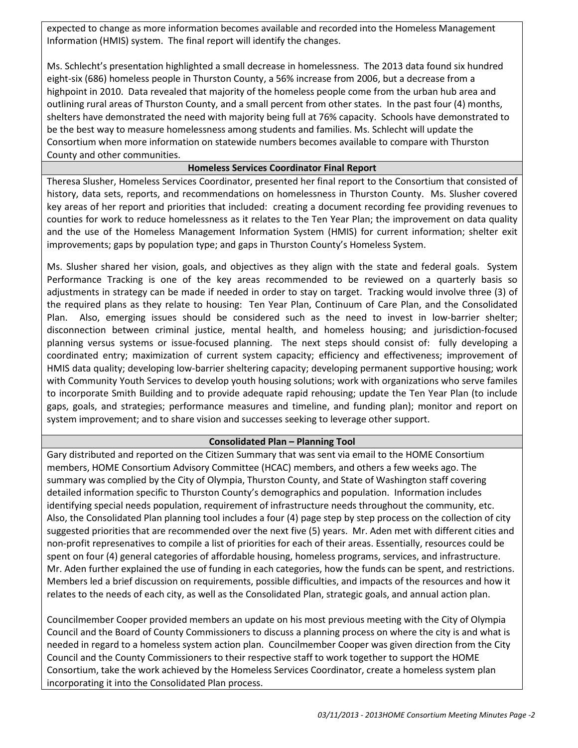expected to change as more information becomes available and recorded into the Homeless Management Information (HMIS) system. The final report will identify the changes.

Ms. Schlecht's presentation highlighted a small decrease in homelessness. The 2013 data found six hundred eight-six (686) homeless people in Thurston County, a 56% increase from 2006, but a decrease from a highpoint in 2010. Data revealed that majority of the homeless people come from the urban hub area and outlining rural areas of Thurston County, and a small percent from other states. In the past four (4) months, shelters have demonstrated the need with majority being full at 76% capacity. Schools have demonstrated to be the best way to measure homelessness among students and families. Ms. Schlecht will update the Consortium when more information on statewide numbers becomes available to compare with Thurston County and other communities.

### **Homeless Services Coordinator Final Report**

Theresa Slusher, Homeless Services Coordinator, presented her final report to the Consortium that consisted of history, data sets, reports, and recommendations on homelessness in Thurston County. Ms. Slusher covered key areas of her report and priorities that included: creating a document recording fee providing revenues to counties for work to reduce homelessness as it relates to the Ten Year Plan; the improvement on data quality and the use of the Homeless Management Information System (HMIS) for current information; shelter exit improvements; gaps by population type; and gaps in Thurston County's Homeless System.

Ms. Slusher shared her vision, goals, and objectives as they align with the state and federal goals. System Performance Tracking is one of the key areas recommended to be reviewed on a quarterly basis so adjustments in strategy can be made if needed in order to stay on target. Tracking would involve three (3) of the required plans as they relate to housing: Ten Year Plan, Continuum of Care Plan, and the Consolidated Plan. Also, emerging issues should be considered such as the need to invest in low-barrier shelter; disconnection between criminal justice, mental health, and homeless housing; and jurisdiction-focused planning versus systems or issue-focused planning. The next steps should consist of: fully developing a coordinated entry; maximization of current system capacity; efficiency and effectiveness; improvement of HMIS data quality; developing low-barrier sheltering capacity; developing permanent supportive housing; work with Community Youth Services to develop youth housing solutions; work with organizations who serve familes to incorporate Smith Building and to provide adequate rapid rehousing; update the Ten Year Plan (to include gaps, goals, and strategies; performance measures and timeline, and funding plan); monitor and report on system improvement; and to share vision and successes seeking to leverage other support.

## **Consolidated Plan – Planning Tool**

Gary distributed and reported on the Citizen Summary that was sent via email to the HOME Consortium members, HOME Consortium Advisory Committee (HCAC) members, and others a few weeks ago. The summary was complied by the City of Olympia, Thurston County, and State of Washington staff covering detailed information specific to Thurston County's demographics and population. Information includes identifying special needs population, requirement of infrastructure needs throughout the community, etc. Also, the Consolidated Plan planning tool includes a four (4) page step by step process on the collection of city suggested priorities that are recommended over the next five (5) years. Mr. Aden met with different cities and non-profit represenatives to compile a list of priorities for each of their areas. Essentially, resources could be spent on four (4) general categories of affordable housing, homeless programs, services, and infrastructure. Mr. Aden further explained the use of funding in each categories, how the funds can be spent, and restrictions. Members led a brief discussion on requirements, possible difficulties, and impacts of the resources and how it relates to the needs of each city, as well as the Consolidated Plan, strategic goals, and annual action plan.

Councilmember Cooper provided members an update on his most previous meeting with the City of Olympia Council and the Board of County Commissioners to discuss a planning process on where the city is and what is needed in regard to a homeless system action plan. Councilmember Cooper was given direction from the City Council and the County Commissioners to their respective staff to work together to support the HOME Consortium, take the work achieved by the Homeless Services Coordinator, create a homeless system plan incorporating it into the Consolidated Plan process.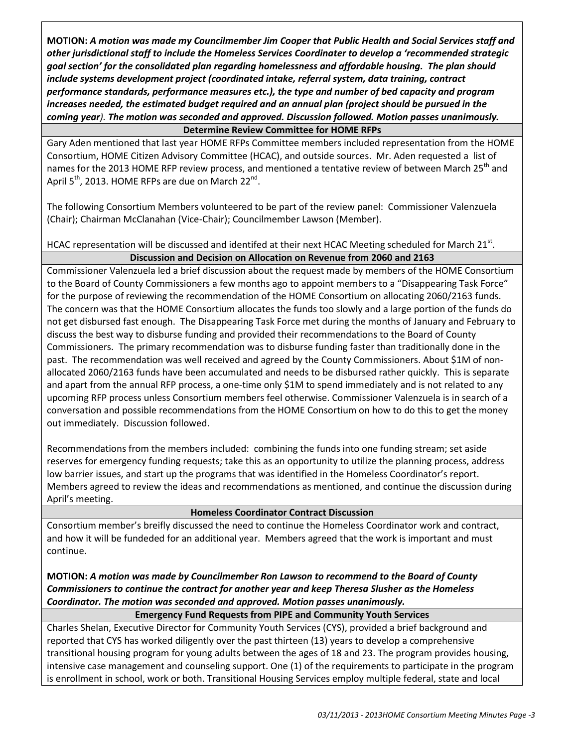**MOTION:** *A motion was made my Councilmember Jim Cooper that Public Health and Social Services staff and other jurisdictional staff to include the Homeless Services Coordinater to develop a 'recommended strategic goal section' for the consolidated plan regarding homelessness and affordable housing. The plan should include systems development project (coordinated intake, referral system, data training, contract performance standards, performance measures etc.), the type and number of bed capacity and program increases needed, the estimated budget required and an annual plan (project should be pursued in the coming year). The motion was seconded and approved. Discussion followed. Motion passes unanimously.*  **Determine Review Committee for HOME RFPs**

Gary Aden mentioned that last year HOME RFPs Committee members included representation from the HOME Consortium, HOME Citizen Advisory Committee (HCAC), and outside sources. Mr. Aden requested a list of names for the 2013 HOME RFP review process, and mentioned a tentative review of between March 25<sup>th</sup> and April  $5<sup>th</sup>$ , 2013. HOME RFPs are due on March 22<sup>nd</sup>.

The following Consortium Members volunteered to be part of the review panel: Commissioner Valenzuela (Chair); Chairman McClanahan (Vice-Chair); Councilmember Lawson (Member).

HCAC representation will be discussed and identifed at their next HCAC Meeting scheduled for March 21st.

# **Discussion and Decision on Allocation on Revenue from 2060 and 2163**

Commissioner Valenzuela led a brief discussion about the request made by members of the HOME Consortium to the Board of County Commissioners a few months ago to appoint members to a "Disappearing Task Force" for the purpose of reviewing the recommendation of the HOME Consortium on allocating 2060/2163 funds. The concern was that the HOME Consortium allocates the funds too slowly and a large portion of the funds do not get disbursed fast enough. The Disappearing Task Force met during the months of January and February to discuss the best way to disburse funding and provided their recommendations to the Board of County Commissioners. The primary recommendation was to disburse funding faster than traditionally done in the past. The recommendation was well received and agreed by the County Commissioners. About \$1M of nonallocated 2060/2163 funds have been accumulated and needs to be disbursed rather quickly. This is separate and apart from the annual RFP process, a one-time only \$1M to spend immediately and is not related to any upcoming RFP process unless Consortium members feel otherwise. Commissioner Valenzuela is in search of a conversation and possible recommendations from the HOME Consortium on how to do this to get the money out immediately. Discussion followed.

Recommendations from the members included: combining the funds into one funding stream; set aside reserves for emergency funding requests; take this as an opportunity to utilize the planning process, address low barrier issues, and start up the programs that was identified in the Homeless Coordinator's report. Members agreed to review the ideas and recommendations as mentioned, and continue the discussion during April's meeting.

## **Homeless Coordinator Contract Discussion**

Consortium member's breifly discussed the need to continue the Homeless Coordinator work and contract, and how it will be fundeded for an additional year. Members agreed that the work is important and must continue.

**MOTION:** *A motion was made by Councilmember Ron Lawson to recommend to the Board of County Commissioners to continue the contract for another year and keep Theresa Slusher as the Homeless Coordinator. The motion was seconded and approved. Motion passes unanimously.*

## **Emergency Fund Requests from PIPE and Community Youth Services**

Charles Shelan, Executive Director for Community Youth Services (CYS), provided a brief background and reported that CYS has worked diligently over the past thirteen (13) years to develop a comprehensive transitional housing program for young adults between the ages of 18 and 23. The program provides housing, intensive case management and counseling support. One (1) of the requirements to participate in the program is enrollment in school, work or both. Transitional Housing Services employ multiple federal, state and local